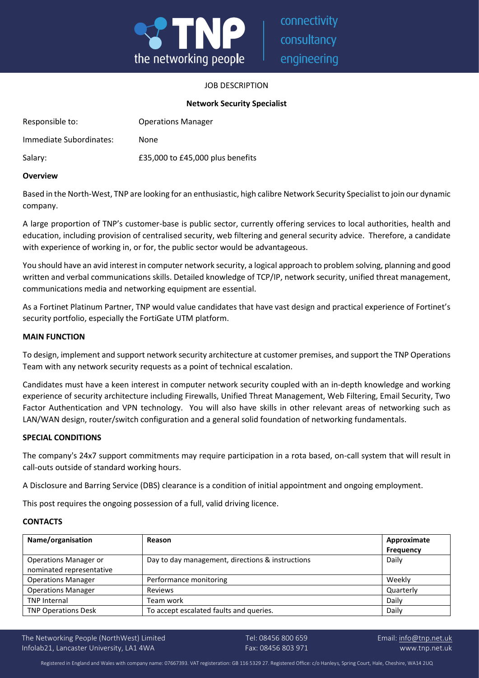

connectivity consultancy engineering

# JOB DESCRIPTION

## **Network Security Specialist**

| Responsible to:         | <b>Operations Manager</b>        |
|-------------------------|----------------------------------|
| Immediate Subordinates: | None                             |
| Salary:                 | £35,000 to £45,000 plus benefits |

## **Overview**

Based in the North-West, TNP are looking for an enthusiastic, high calibre Network Security Specialist to join our dynamic company.

A large proportion of TNP's customer-base is public sector, currently offering services to local authorities, health and education, including provision of centralised security, web filtering and general security advice. Therefore, a candidate with experience of working in, or for, the public sector would be advantageous.

You should have an avid interest in computer network security, a logical approach to problem solving, planning and good written and verbal communications skills. Detailed knowledge of TCP/IP, network security, unified threat management, communications media and networking equipment are essential.

As a Fortinet Platinum Partner, TNP would value candidates that have vast design and practical experience of Fortinet's security portfolio, especially the FortiGate UTM platform.

#### **MAIN FUNCTION**

To design, implement and support network security architecture at customer premises, and support the TNP Operations Team with any network security requests as a point of technical escalation.

Candidates must have a keen interest in computer network security coupled with an in-depth knowledge and working experience of security architecture including Firewalls, Unified Threat Management, Web Filtering, Email Security, Two Factor Authentication and VPN technology. You will also have skills in other relevant areas of networking such as LAN/WAN design, router/switch configuration and a general solid foundation of networking fundamentals.

#### **SPECIAL CONDITIONS**

The company's 24x7 support commitments may require participation in a rota based, on-call system that will result in call-outs outside of standard working hours.

A Disclosure and Barring Service (DBS) clearance is a condition of initial appointment and ongoing employment.

This post requires the ongoing possession of a full, valid driving licence.

## **CONTACTS**

| Name/organisation                                        | Reason                                           | Approximate<br><b>Frequency</b> |
|----------------------------------------------------------|--------------------------------------------------|---------------------------------|
| <b>Operations Manager or</b><br>nominated representative | Day to day management, directions & instructions | Daily                           |
| <b>Operations Manager</b>                                | Performance monitoring                           | Weekly                          |
| <b>Operations Manager</b>                                | Reviews                                          | Quarterly                       |
| <b>TNP Internal</b>                                      | Team work                                        | Daily                           |
| <b>TNP Operations Desk</b>                               | To accept escalated faults and queries.          | Daily                           |

The Networking People (NorthWest) Limited Tel: 08456 800 659 Email: [info@tnp.net.uk](mailto:info@tnp.net.uk) Infolab21, Lancaster University, LA1 4WA Fax: 08456 803 971 www.tnp.net.uk

Registered in England and Wales with company name: 07667393. VAT registeration: GB 116 5329 27. Registered Office: c/o Hanleys, Spring Court, Hale, Cheshire, WA14 2UQ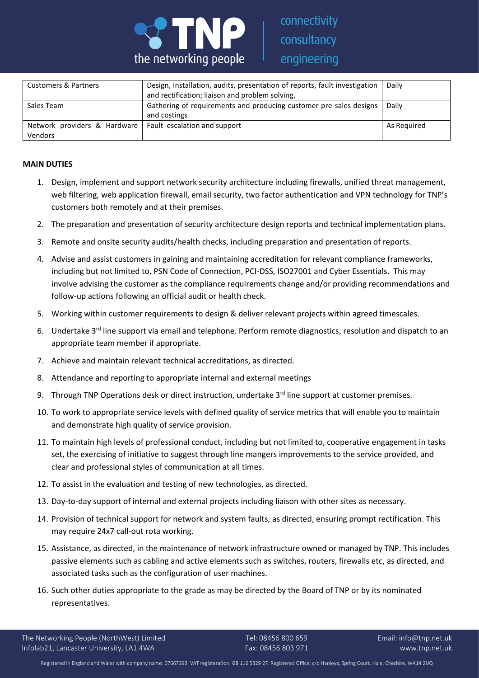

| Customers & Partners         | Design, Installation, audits, presentation of reports, fault investigation<br>and rectification; liaison and problem solving, | Daily       |
|------------------------------|-------------------------------------------------------------------------------------------------------------------------------|-------------|
| Sales Team                   | Gathering of requirements and producing customer pre-sales designs  <br>and costings                                          | Daily       |
|                              |                                                                                                                               |             |
| Network providers & Hardware | Fault escalation and support                                                                                                  | As Reguired |
| Vendors                      |                                                                                                                               |             |

# **MAIN DUTIES**

- 1. Design, implement and support network security architecture including firewalls, unified threat management, web filtering, web application firewall, email security, two factor authentication and VPN technology for TNP's customers both remotely and at their premises.
- 2. The preparation and presentation of security architecture design reports and technical implementation plans.
- 3. Remote and onsite security audits/health checks, including preparation and presentation of reports.
- 4. Advise and assist customers in gaining and maintaining accreditation for relevant compliance frameworks, including but not limited to, PSN Code of Connection, PCI-DSS, ISO27001 and Cyber Essentials. This may involve advising the customer as the compliance requirements change and/or providing recommendations and follow-up actions following an official audit or health check.
- 5. Working within customer requirements to design & deliver relevant projects within agreed timescales.
- 6. Undertake 3<sup>rd</sup> line support via email and telephone. Perform remote diagnostics, resolution and dispatch to an appropriate team member if appropriate.
- 7. Achieve and maintain relevant technical accreditations, as directed.
- 8. Attendance and reporting to appropriate internal and external meetings
- 9. Through TNP Operations desk or direct instruction, undertake  $3<sup>rd</sup>$  line support at customer premises.
- 10. To work to appropriate service levels with defined quality of service metrics that will enable you to maintain and demonstrate high quality of service provision.
- 11. To maintain high levels of professional conduct, including but not limited to, cooperative engagement in tasks set, the exercising of initiative to suggest through line mangers improvements to the service provided, and clear and professional styles of communication at all times.
- 12. To assist in the evaluation and testing of new technologies, as directed.
- 13. Day-to-day support of internal and external projects including liaison with other sites as necessary.
- 14. Provision of technical support for network and system faults, as directed, ensuring prompt rectification. This may require 24x7 call-out rota working.
- 15. Assistance, as directed, in the maintenance of network infrastructure owned or managed by TNP. This includes passive elements such as cabling and active elements such as switches, routers, firewalls etc, as directed, and associated tasks such as the configuration of user machines.
- 16. Such other duties appropriate to the grade as may be directed by the Board of TNP or by its nominated representatives.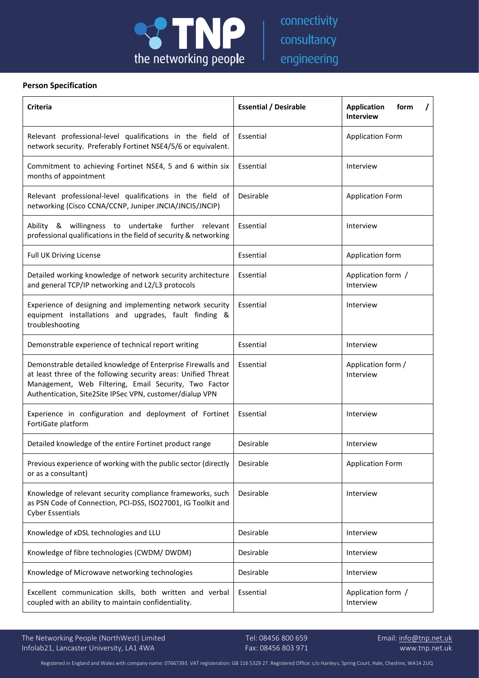

# **Person Specification**

| <b>Criteria</b>                                                                                                                                                                                                                                    | <b>Essential / Desirable</b> | <b>Application</b><br>form<br><b>Interview</b> |
|----------------------------------------------------------------------------------------------------------------------------------------------------------------------------------------------------------------------------------------------------|------------------------------|------------------------------------------------|
| Relevant professional-level qualifications in the field of<br>network security. Preferably Fortinet NSE4/5/6 or equivalent.                                                                                                                        | Essential                    | <b>Application Form</b>                        |
| Commitment to achieving Fortinet NSE4, 5 and 6 within six<br>months of appointment                                                                                                                                                                 | Essential                    | Interview                                      |
| Relevant professional-level qualifications in the field of<br>networking (Cisco CCNA/CCNP, Juniper JNCIA/JNCIS/JNCIP)                                                                                                                              | Desirable                    | <b>Application Form</b>                        |
| Ability & willingness to undertake further relevant<br>professional qualifications in the field of security & networking                                                                                                                           | Essential                    | Interview                                      |
| Full UK Driving License                                                                                                                                                                                                                            | Essential                    | Application form                               |
| Detailed working knowledge of network security architecture<br>and general TCP/IP networking and L2/L3 protocols                                                                                                                                   | Essential                    | Application form /<br>Interview                |
| Experience of designing and implementing network security<br>equipment installations and upgrades, fault finding &<br>troubleshooting                                                                                                              | Essential                    | Interview                                      |
| Demonstrable experience of technical report writing                                                                                                                                                                                                | Essential                    | Interview                                      |
| Demonstrable detailed knowledge of Enterprise Firewalls and<br>at least three of the following security areas: Unified Threat<br>Management, Web Filtering, Email Security, Two Factor<br>Authentication, Site2Site IPSec VPN, customer/dialup VPN | Essential                    | Application form /<br>Interview                |
| Experience in configuration and deployment of Fortinet<br>FortiGate platform                                                                                                                                                                       | Essential                    | Interview                                      |
| Detailed knowledge of the entire Fortinet product range                                                                                                                                                                                            | Desirable                    | Interview                                      |
| Previous experience of working with the public sector (directly<br>or as a consultant)                                                                                                                                                             | Desirable                    | <b>Application Form</b>                        |
| Knowledge of relevant security compliance frameworks, such<br>as PSN Code of Connection, PCI-DSS, ISO27001, IG Toolkit and<br><b>Cyber Essentials</b>                                                                                              | Desirable                    | Interview                                      |
| Knowledge of xDSL technologies and LLU                                                                                                                                                                                                             | Desirable                    | Interview                                      |
| Knowledge of fibre technologies (CWDM/DWDM)                                                                                                                                                                                                        | Desirable                    | Interview                                      |
| Knowledge of Microwave networking technologies                                                                                                                                                                                                     | Desirable                    | Interview                                      |
| Excellent communication skills, both written and verbal<br>coupled with an ability to maintain confidentiality.                                                                                                                                    | Essential                    | Application form /<br>Interview                |

The Networking People (NorthWest) Limited Tel: 08456 800 659 Email: [info@tnp.net.uk](mailto:info@tnp.net.uk) Infolab21, Lancaster University, LA1 4WA Fax: 08456 803 971 www.tnp.net.uk

Registered in England and Wales with company name: 07667393. VAT registeration: GB 116 5329 27. Registered Office: c/o Hanleys, Spring Court, Hale, Cheshire, WA14 2UQ